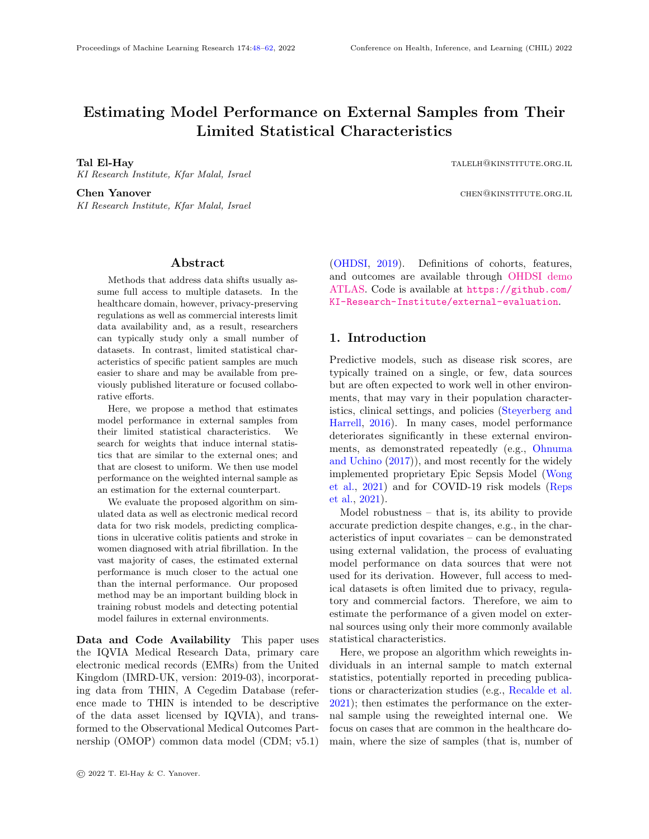# Estimating Model Performance on External Samples from Their Limited Statistical Characteristics

Tal El-Hay talents are the contracted to the contracted to the contracted to the contracted to the contracted to the contracted to the contracted to the contracted to the contracted to the contracted to the contracted to t KI Research Institute, Kfar Malal, Israel

KI Research Institute, Kfar Malal, Israel

**Chen Yanover Chen Yanover chemical chemical chemical chemical chemical chemical chemical chemical chemical chemical chemical chemical chemical chemical chemical chemical chemical chemical chemical chemical chemical chemic** 

### Abstract

<span id="page-0-0"></span>Methods that address data shifts usually assume full access to multiple datasets. In the healthcare domain, however, privacy-preserving regulations as well as commercial interests limit data availability and, as a result, researchers can typically study only a small number of datasets. In contrast, limited statistical characteristics of specific patient samples are much easier to share and may be available from previously published literature or focused collaborative efforts.

Here, we propose a method that estimates model performance in external samples from their limited statistical characteristics. We search for weights that induce internal statistics that are similar to the external ones; and that are closest to uniform. We then use model performance on the weighted internal sample as an estimation for the external counterpart.

We evaluate the proposed algorithm on simulated data as well as electronic medical record data for two risk models, predicting complications in ulcerative colitis patients and stroke in women diagnosed with atrial fibrillation. In the vast majority of cases, the estimated external performance is much closer to the actual one than the internal performance. Our proposed method may be an important building block in training robust models and detecting potential model failures in external environments.

Data and Code Availability This paper uses the IQVIA Medical Research Data, primary care electronic medical records (EMRs) from the United Kingdom (IMRD-UK, version: 2019-03), incorporating data from THIN, A Cegedim Database (reference made to THIN is intended to be descriptive of the data asset licensed by IQVIA), and transformed to the Observational Medical Outcomes Partnership (OMOP) common data model (CDM; v5.1) [\(OHDSI,](#page-11-0) [2019\)](#page-11-0). Definitions of cohorts, features, and outcomes are available through [OHDSI demo](https://atlas-demo.ohdsi.org/) [ATLAS.](https://atlas-demo.ohdsi.org/) Code is available at [https://github.com/](https://github.com/KI-Research-Institute/external-evaluation) [KI-Research-Institute/external-evaluation](https://github.com/KI-Research-Institute/external-evaluation).

# 1. Introduction

Predictive models, such as disease risk scores, are typically trained on a single, or few, data sources but are often expected to work well in other environments, that may vary in their population characteristics, clinical settings, and policies [\(Steyerberg and](#page-12-0) [Harrell,](#page-12-0) [2016\)](#page-12-0). In many cases, model performance deteriorates significantly in these external environments, as demonstrated repeatedly (e.g., [Ohnuma](#page-11-1) [and Uchino](#page-11-1) [\(2017\)](#page-11-1)), and most recently for the widely implemented proprietary Epic Sepsis Model [\(Wong](#page-12-1) [et al.,](#page-12-1) [2021\)](#page-12-1) and for COVID-19 risk models [\(Reps](#page-11-2) [et al.,](#page-11-2) [2021\)](#page-11-2).

Model robustness – that is, its ability to provide accurate prediction despite changes, e.g., in the characteristics of input covariates – can be demonstrated using external validation, the process of evaluating model performance on data sources that were not used for its derivation. However, full access to medical datasets is often limited due to privacy, regulatory and commercial factors. Therefore, we aim to estimate the performance of a given model on external sources using only their more commonly available statistical characteristics.

Here, we propose an algorithm which reweights individuals in an internal sample to match external statistics, potentially reported in preceding publications or characterization studies (e.g., [Recalde et al.](#page-11-3) [2021\)](#page-11-3); then estimates the performance on the external sample using the reweighted internal one. We focus on cases that are common in the healthcare domain, where the size of samples (that is, number of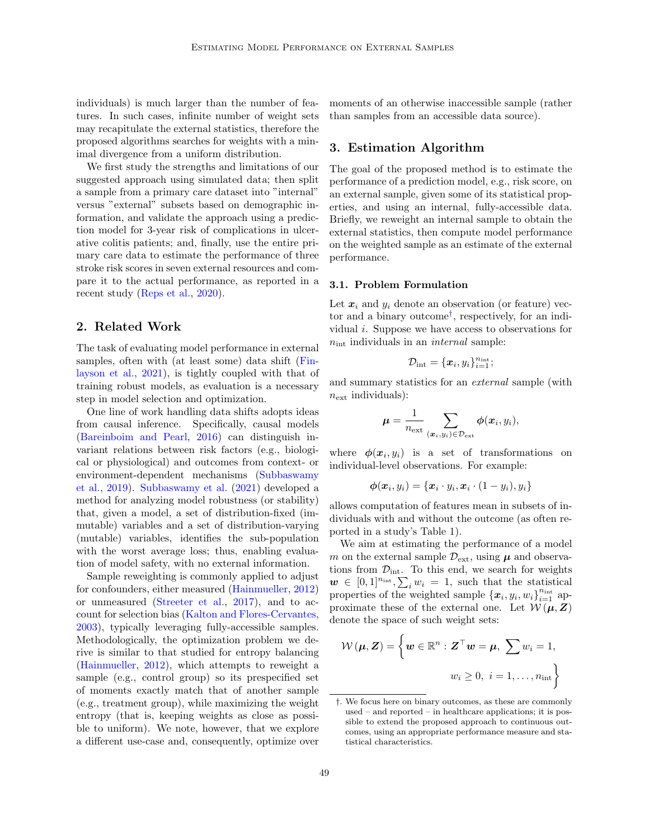individuals) is much larger than the number of features. In such cases, infinite number of weight sets may recapitulate the external statistics, therefore the proposed algorithms searches for weights with a minimal divergence from a uniform distribution.

We first study the strengths and limitations of our suggested approach using simulated data; then split a sample from a primary care dataset into "internal" versus "external" subsets based on demographic information, and validate the approach using a prediction model for 3-year risk of complications in ulcerative colitis patients; and, finally, use the entire primary care data to estimate the performance of three stroke risk scores in seven external resources and compare it to the actual performance, as reported in a recent study [\(Reps et al.,](#page-11-4) [2020\)](#page-11-4).

### 2. Related Work

The task of evaluating model performance in external samples, often with (at least some) data shift [\(Fin](#page-10-0)[layson et al.,](#page-10-0) [2021\)](#page-10-0), is tightly coupled with that of training robust models, as evaluation is a necessary step in model selection and optimization.

One line of work handling data shifts adopts ideas from causal inference. Specifically, causal models [\(Bareinboim and Pearl,](#page-9-0) [2016\)](#page-9-0) can distinguish invariant relations between risk factors (e.g., biological or physiological) and outcomes from context- or environment-dependent mechanisms [\(Subbaswamy](#page-12-2) [et al.,](#page-12-2) [2019\)](#page-12-2). [Subbaswamy et al.](#page-12-3) [\(2021\)](#page-12-3) developed a method for analyzing model robustness (or stability) that, given a model, a set of distribution-fixed (immutable) variables and a set of distribution-varying (mutable) variables, identifies the sub-population with the worst average loss; thus, enabling evaluation of model safety, with no external information.

Sample reweighting is commonly applied to adjust for confounders, either measured [\(Hainmueller,](#page-10-1) [2012\)](#page-10-1) or unmeasured [\(Streeter et al.,](#page-12-4) [2017\)](#page-12-4), and to account for selection bias [\(Kalton and Flores-Cervantes,](#page-11-5) [2003\)](#page-11-5), typically leveraging fully-accessible samples. Methodologically, the optimization problem we derive is similar to that studied for entropy balancing [\(Hainmueller,](#page-10-1) [2012\)](#page-10-1), which attempts to reweight a sample (e.g., control group) so its prespecified set of moments exactly match that of another sample (e.g., treatment group), while maximizing the weight entropy (that is, keeping weights as close as possible to uniform). We note, however, that we explore a different use-case and, consequently, optimize over

moments of an otherwise inaccessible sample (rather than samples from an accessible data source).

# 3. Estimation Algorithm

The goal of the proposed method is to estimate the performance of a prediction model, e.g., risk score, on an external sample, given some of its statistical properties, and using an internal, fully-accessible data. Briefly, we reweight an internal sample to obtain the external statistics, then compute model performance on the weighted sample as an estimate of the external performance.

#### 3.1. Problem Formulation

Let  $x_i$  and  $y_i$  denote an observation (or feature) vector and a binary outcome[†](#page-1-0) , respectively, for an individual i. Suppose we have access to observations for  $n_{\text{int}}$  individuals in an *internal* sample:

$$
\mathcal{D}_{\rm int} = \{\boldsymbol{x}_i, y_i\}_{i=1}^{n_{\rm int}};
$$

and summary statistics for an external sample (with  $n_{\text{ext}}$  individuals):

$$
\mu = \frac{1}{n_{\text{ext}}} \sum_{(\boldsymbol{x}_i, y_i) \in \mathcal{D}_{\text{ext}}} \phi(\boldsymbol{x}_i, y_i),
$$

where  $\phi(x_i, y_i)$  is a set of transformations on individual-level observations. For example:

$$
\boldsymbol{\phi}(\boldsymbol{x}_i, y_i) = \{\boldsymbol{x}_i \cdot y_i, \boldsymbol{x}_i \cdot (1 - y_i), y_i\}
$$

allows computation of features mean in subsets of individuals with and without the outcome (as often reported in a study's Table 1).

We aim at estimating the performance of a model m on the external sample  $\mathcal{D}_{ext}$ , using  $\mu$  and observations from  $\mathcal{D}_{\text{int}}$ . To this end, we search for weights  $\mathbf{w} \in [0,1]^{n_{\text{int}}}, \sum_i w_i = 1$ , such that the statistical properties of the weighted sample  $\{x_i, y_i, w_i\}_{i=1}^{n_{\text{int}}}$  approximate these of the external one. Let  $W(\mu, Z)$ denote the space of such weight sets:

<span id="page-1-1"></span>
$$
\mathcal{W}(\boldsymbol{\mu}, \boldsymbol{Z}) = \left\{ \boldsymbol{w} \in \mathbb{R}^n : \boldsymbol{Z}^\top \boldsymbol{w} = \boldsymbol{\mu}, \ \sum w_i = 1, \right. \\ w_i \geq 0, \ i = 1, \dots, n_{\text{int}} \right\}
$$

<span id="page-1-0"></span><sup>†</sup>. We focus here on binary outcomes, as these are commonly used – and reported – in healthcare applications; it is possible to extend the proposed approach to continuous outcomes, using an appropriate performance measure and statistical characteristics.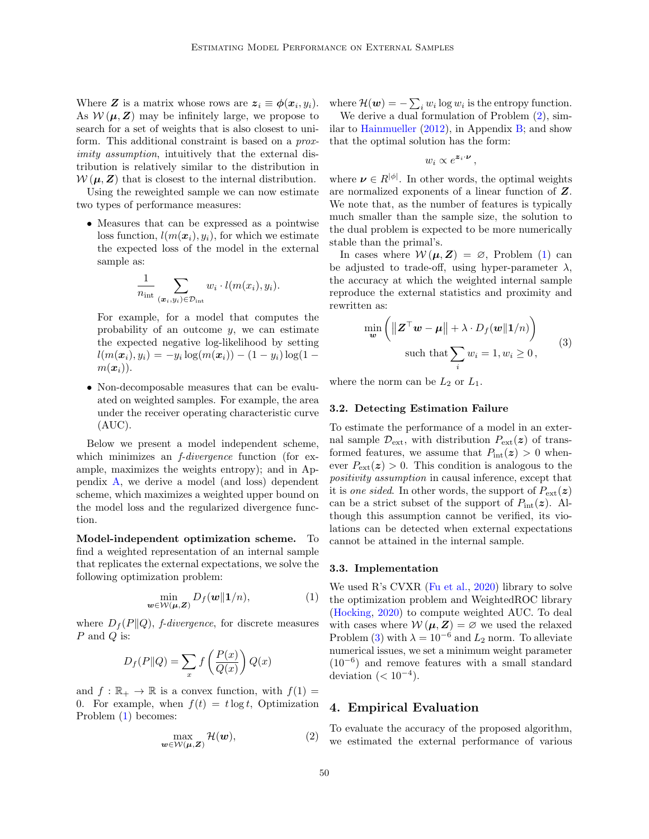Where Z is a matrix whose rows are  $z_i \equiv \phi(x_i, y_i)$ . As  $W(\mu, Z)$  may be infinitely large, we propose to search for a set of weights that is also closest to uniform. This additional constraint is based on a *prox*imity assumption, intuitively that the external distribution is relatively similar to the distribution in  $W(\mu, Z)$  that is closest to the internal distribution.

Using the reweighted sample we can now estimate two types of performance measures:

• Measures that can be expressed as a pointwise loss function,  $l(m(\boldsymbol{x}_i), y_i)$ , for which we estimate the expected loss of the model in the external sample as:

$$
\frac{1}{n_{\rm int}} \sum_{(\boldsymbol{x}_i, y_i) \in \mathcal{D}_{\rm int}} w_i \cdot l(m(x_i), y_i).
$$

For example, for a model that computes the probability of an outcome  $y$ , we can estimate the expected negative log-likelihood by setting  $l(m(\boldsymbol{x}_i), y_i) = -y_i \log(m(\boldsymbol{x}_i)) - (1-y_i) \log(1-\boldsymbol{x}_i)$  $m(\boldsymbol{x}_i)$ ).

• Non-decomposable measures that can be evaluated on weighted samples. For example, the area under the receiver operating characteristic curve (AUC).

Below we present a model independent scheme, which minimizes an *f-divergence* function (for example, maximizes the weights entropy); and in Appendix [A,](#page-12-5) we derive a model (and loss) dependent scheme, which maximizes a weighted upper bound on the model loss and the regularized divergence function.

Model-independent optimization scheme. To find a weighted representation of an internal sample that replicates the external expectations, we solve the following optimization problem:

$$
\min_{\boldsymbol{w}\in\mathcal{W}(\boldsymbol{\mu},\boldsymbol{Z})}D_f(\boldsymbol{w}\|\boldsymbol{1}/n),\tag{1}
$$

where  $D_f(P||Q)$ , *f-divergence*, for discrete measures P and Q is:

$$
D_f(P||Q) = \sum_x f\left(\frac{P(x)}{Q(x)}\right) Q(x)
$$

and  $f : \mathbb{R}_+ \to \mathbb{R}$  is a convex function, with  $f(1) =$ 0. For example, when  $f(t) = t \log t$ , Optimization Problem [\(1\)](#page-1-1) becomes:

<span id="page-2-0"></span>
$$
\max_{\boldsymbol{w}\in\mathcal{W}(\boldsymbol{\mu},\boldsymbol{Z})}\mathcal{H}(\boldsymbol{w}),\tag{2}
$$

where  $\mathcal{H}(\boldsymbol{w}) = -\sum_i w_i \log w_i$  is the entropy function.

We derive a dual formulation of Problem  $(2)$ , sim-ilar to [Hainmueller](#page-10-1)  $(2012)$ , in Appendix [B;](#page-13-0) and show that the optimal solution has the form:

$$
w_i \propto e^{\textbf{z}_i \cdot \textbf{\textit{\nu}}}
$$

,

where  $\nu \in R^{|\phi|}$ . In other words, the optimal weights are normalized exponents of a linear function of Z. We note that, as the number of features is typically much smaller than the sample size, the solution to the dual problem is expected to be more numerically stable than the primal's.

In cases where  $W(\mu, Z) = \emptyset$ , Problem [\(1\)](#page-1-1) can be adjusted to trade-off, using hyper-parameter  $\lambda$ , the accuracy at which the weighted internal sample reproduce the external statistics and proximity and rewritten as:

<span id="page-2-1"></span>
$$
\min_{\mathbf{w}} \left( \|\mathbf{Z}^{\top}\mathbf{w} - \boldsymbol{\mu}\| + \lambda \cdot D_f(\mathbf{w}|\mathbf{1}/n) \right)
$$
  
such that 
$$
\sum_i w_i = 1, w_i \ge 0,
$$
 (3)

where the norm can be  $L_2$  or  $L_1$ .

#### 3.2. Detecting Estimation Failure

To estimate the performance of a model in an external sample  $\mathcal{D}_{ext}$ , with distribution  $P_{ext}(z)$  of transformed features, we assume that  $P_{\text{int}}(z) > 0$  whenever  $P_{\text{ext}}(z) > 0$ . This condition is analogous to the positivity assumption in causal inference, except that it is one sided. In other words, the support of  $P_{ext}(z)$ can be a strict subset of the support of  $P_{\text{int}}(z)$ . Although this assumption cannot be verified, its violations can be detected when external expectations cannot be attained in the internal sample.

#### 3.3. Implementation

We used R's CVXR [\(Fu et al.,](#page-10-2) [2020\)](#page-10-2) library to solve the optimization problem and WeightedROC library [\(Hocking,](#page-10-3) [2020\)](#page-10-3) to compute weighted AUC. To deal with cases where  $W(\mu, Z) = \emptyset$  we used the relaxed Problem [\(3\)](#page-2-1) with  $\lambda = 10^{-6}$  and  $L_2$  norm. To alleviate numerical issues, we set a minimum weight parameter (10<sup>−</sup><sup>6</sup> ) and remove features with a small standard deviation  $( $10^{-4}$ ).$ 

### 4. Empirical Evaluation

To evaluate the accuracy of the proposed algorithm, we estimated the external performance of various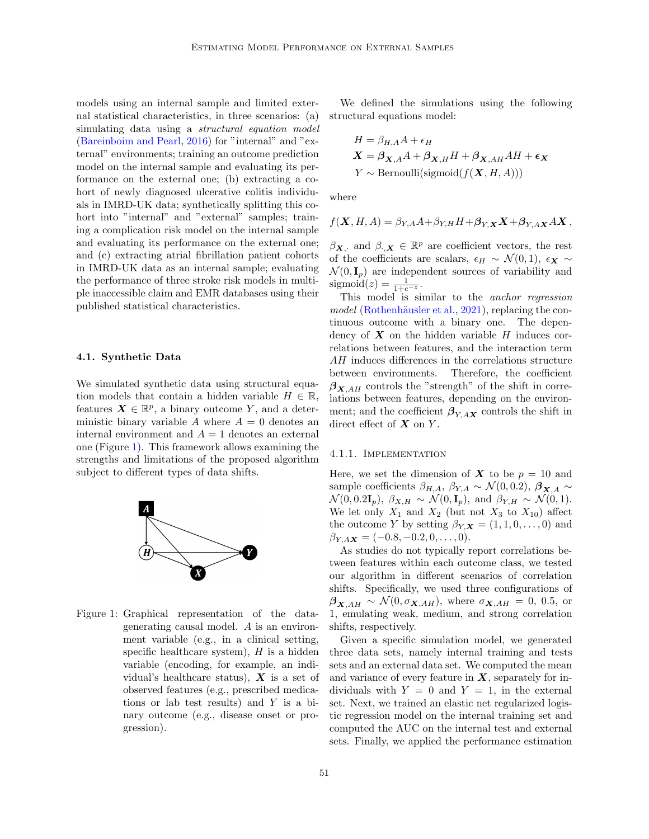models using an internal sample and limited external statistical characteristics, in three scenarios: (a) simulating data using a *structural equation model* [\(Bareinboim and Pearl,](#page-9-0) [2016\)](#page-9-0) for "internal" and "external" environments; training an outcome prediction model on the internal sample and evaluating its performance on the external one; (b) extracting a cohort of newly diagnosed ulcerative colitis individuals in IMRD-UK data; synthetically splitting this cohort into "internal" and "external" samples; training a complication risk model on the internal sample and evaluating its performance on the external one; and (c) extracting atrial fibrillation patient cohorts in IMRD-UK data as an internal sample; evaluating the performance of three stroke risk models in multiple inaccessible claim and EMR databases using their published statistical characteristics.

#### 4.1. Synthetic Data

We simulated synthetic data using structural equation models that contain a hidden variable  $H \in \mathbb{R}$ , features  $\mathbf{X} \in \mathbb{R}^p$ , a binary outcome Y, and a deterministic binary variable A where  $A = 0$  denotes an internal environment and  $A = 1$  denotes an external one (Figure [1\)](#page-3-0). This framework allows examining the strengths and limitations of the proposed algorithm subject to different types of data shifts.



<span id="page-3-0"></span>Figure 1: Graphical representation of the datagenerating causal model. A is an environment variable (e.g., in a clinical setting, specific healthcare system),  $H$  is a hidden variable (encoding, for example, an individual's healthcare status),  $\boldsymbol{X}$  is a set of observed features (e.g., prescribed medications or lab test results) and  $Y$  is a binary outcome (e.g., disease onset or progression).

We defined the simulations using the following structural equations model:

$$
H = \beta_{H,A}A + \epsilon_H
$$
  

$$
\mathbf{X} = \boldsymbol{\beta}_{\mathbf{X},A}A + \boldsymbol{\beta}_{\mathbf{X},H}H + \boldsymbol{\beta}_{\mathbf{X},AH}AH + \epsilon_{\mathbf{X}}
$$
  

$$
Y \sim \text{Bernoulli}(\text{sigmoid}(f(\mathbf{X}, H, A)))
$$

where

$$
f(\mathbf{X}, H, A) = \beta_{Y,A} A + \beta_{Y,H} H + \beta_{Y,\mathbf{X}} \mathbf{X} + \beta_{Y,A\mathbf{X}} A \mathbf{X},
$$

 $\beta_{\mathbf{X},\cdot}$  and  $\beta_{\cdot,\mathbf{X}} \in \mathbb{R}^p$  are coefficient vectors, the rest of the coefficients are scalars,  $\epsilon_H \sim \mathcal{N}(0, 1)$ ,  $\epsilon_X \sim$  $\mathcal{N}(0, \mathbf{I}_p)$  are independent sources of variability and sigmoid(z) =  $\frac{1}{1+e^{-z}}$ .

This model is similar to the anchor regression model (Rothenhäusler et al., [2021\)](#page-11-6), replacing the continuous outcome with a binary one. The dependency of  $X$  on the hidden variable  $H$  induces correlations between features, and the interaction term AH induces differences in the correlations structure between environments. Therefore, the coefficient  $\beta_{X,AH}$  controls the "strength" of the shift in correlations between features, depending on the environment; and the coefficient  $\beta_{Y,AX}$  controls the shift in direct effect of  $X$  on  $Y$ .

#### 4.1.1. Implementation

Here, we set the dimension of  $X$  to be  $p = 10$  and sample coefficients  $\beta_{H,A}, \beta_{Y,A} \sim \mathcal{N}(0,0.2), \beta_{X,A} \sim$  $\mathcal{N}(0, 0.2\mathbf{I}_p), \ \beta_{X,H} \sim \mathcal{N}(0, \mathbf{I}_p), \text{ and } \beta_{Y,H} \sim \mathcal{N}(0, 1).$ We let only  $X_1$  and  $X_2$  (but not  $X_3$  to  $X_{10}$ ) affect the outcome Y by setting  $\beta_{Y,X} = (1, 1, 0, \ldots, 0)$  and  $\beta_{Y,AX} = (-0.8, -0.2, 0, \dots, 0).$ 

As studies do not typically report correlations between features within each outcome class, we tested our algorithm in different scenarios of correlation shifts. Specifically, we used three configurations of  $\beta_{\mathbf{X},AH} \sim \mathcal{N}(0,\sigma_{\mathbf{X},AH})$ , where  $\sigma_{\mathbf{X},AH} = 0$ , 0.5, or 1, emulating weak, medium, and strong correlation shifts, respectively.

Given a specific simulation model, we generated three data sets, namely internal training and tests sets and an external data set. We computed the mean and variance of every feature in  $X$ , separately for individuals with  $Y = 0$  and  $Y = 1$ , in the external set. Next, we trained an elastic net regularized logistic regression model on the internal training set and computed the AUC on the internal test and external sets. Finally, we applied the performance estimation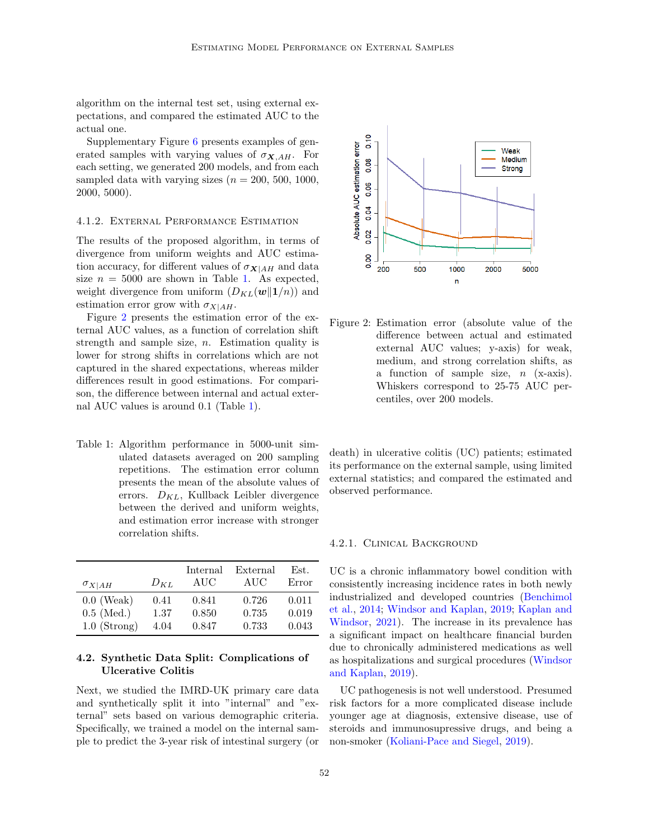algorithm on the internal test set, using external expectations, and compared the estimated AUC to the actual one.

Supplementary Figure [6](#page-14-1) presents examples of generated samples with varying values of  $\sigma_{\mathbf{X},AH}$ . For each setting, we generated 200 models, and from each sampled data with varying sizes  $(n = 200, 500, 1000,$ 2000, 5000).

#### 4.1.2. External Performance Estimation

The results of the proposed algorithm, in terms of divergence from uniform weights and AUC estimation accuracy, for different values of  $\sigma_{\mathbf{X}|AH}$  and data size  $n = 5000$  are shown in Table [1.](#page-4-0) As expected, weight divergence from uniform  $(D_{KL}(\boldsymbol{w}||1/n))$  and estimation error grow with  $\sigma_{X|AH}$ .

Figure [2](#page-4-1) presents the estimation error of the external AUC values, as a function of correlation shift strength and sample size,  $n$ . Estimation quality is lower for strong shifts in correlations which are not captured in the shared expectations, whereas milder differences result in good estimations. For comparison, the difference between internal and actual external AUC values is around 0.1 (Table [1\)](#page-4-0).

<span id="page-4-0"></span>Table 1: Algorithm performance in 5000-unit simulated datasets averaged on 200 sampling repetitions. The estimation error column presents the mean of the absolute values of errors.  $D_{KL}$ , Kullback Leibler divergence between the derived and uniform weights, and estimation error increase with stronger correlation shifts.

| $\sigma_{X AH}$ | $D_{KL}$ | Internal<br>AUC | External<br>AUC | Est.<br>Error |
|-----------------|----------|-----------------|-----------------|---------------|
| $0.0$ (Weak)    | 0.41     | 0.841           | 0.726           | 0.011         |
| $0.5$ (Med.)    | 1.37     | 0.850           | 0.735           | 0.019         |
| $1.0$ (Strong)  | 4.04     | 0.847           | 0.733           | 0.043         |

# 4.2. Synthetic Data Split: Complications of Ulcerative Colitis

Next, we studied the IMRD-UK primary care data and synthetically split it into "internal" and "external" sets based on various demographic criteria. Specifically, we trained a model on the internal sample to predict the 3-year risk of intestinal surgery (or



<span id="page-4-1"></span>Figure 2: Estimation error (absolute value of the difference between actual and estimated external AUC values; y-axis) for weak, medium, and strong correlation shifts, as a function of sample size,  $n$  (x-axis). Whiskers correspond to 25-75 AUC percentiles, over 200 models.

death) in ulcerative colitis (UC) patients; estimated its performance on the external sample, using limited external statistics; and compared the estimated and observed performance.

#### 4.2.1. Clinical Background

UC is a chronic inflammatory bowel condition with consistently increasing incidence rates in both newly industrialized and developed countries [\(Benchimol](#page-9-1) [et al.,](#page-9-1) [2014;](#page-9-1) [Windsor and Kaplan,](#page-12-6) [2019;](#page-12-6) [Kaplan and](#page-11-7) [Windsor,](#page-11-7) [2021\)](#page-11-7). The increase in its prevalence has a significant impact on healthcare financial burden due to chronically administered medications as well as hospitalizations and surgical procedures [\(Windsor](#page-12-6) [and Kaplan,](#page-12-6) [2019\)](#page-12-6).

UC pathogenesis is not well understood. Presumed risk factors for a more complicated disease include younger age at diagnosis, extensive disease, use of steroids and immunosupressive drugs, and being a non-smoker [\(Koliani-Pace and Siegel,](#page-11-8) [2019\)](#page-11-8).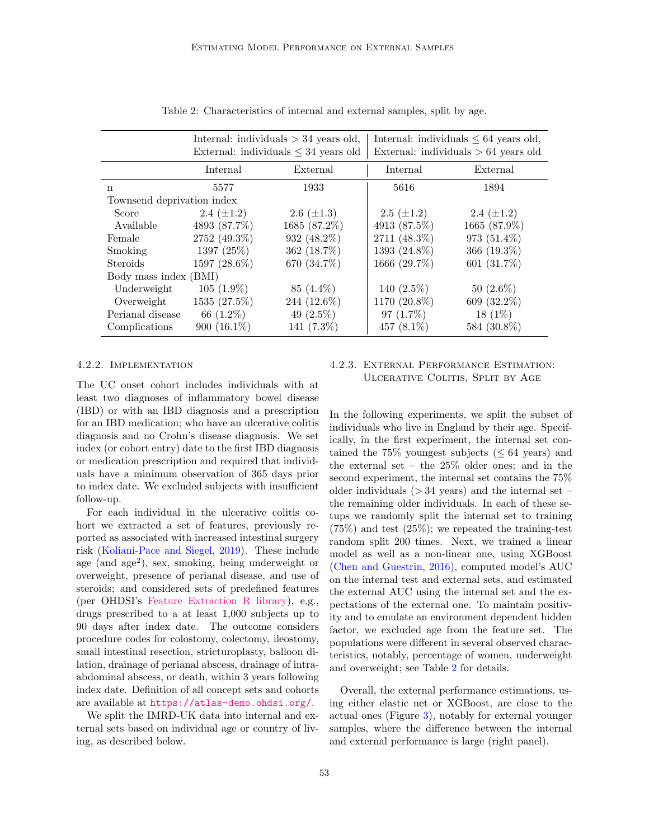|                            | Internal: individuals $>$ 34 years old,<br>External: individuals $\leq 34$ years old |                 | Internal: individuals $\leq 64$ years old,<br>External: individuals $> 64$ years old |                 |  |  |
|----------------------------|--------------------------------------------------------------------------------------|-----------------|--------------------------------------------------------------------------------------|-----------------|--|--|
|                            | Internal                                                                             | External        | Internal                                                                             | External        |  |  |
| n                          | 5577                                                                                 | 1933            | 5616                                                                                 | 1894            |  |  |
| Townsend deprivation index |                                                                                      |                 |                                                                                      |                 |  |  |
| Score                      | 2.4 $(\pm 1.2)$                                                                      | 2.6 $(\pm 1.3)$ | $2.5~(\pm 1.2)$                                                                      | 2.4 $(\pm 1.2)$ |  |  |
| Available                  | 4893 (87.7%)                                                                         | 1685 (87.2%)    | 4913 (87.5%)                                                                         | 1665 (87.9%)    |  |  |
| Female                     | 2752 (49.3%)                                                                         | 932 (48.2%)     | 2711 (48.3%)                                                                         | 973 (51.4%)     |  |  |
| Smoking                    | 1397 (25%)                                                                           | 362 (18.7%)     | 1393 (24.8%)                                                                         | 366 $(19.3\%)$  |  |  |
| Steroids                   | 1597 (28.6%)                                                                         | 670 (34.7%)     | 1666 (29.7%)                                                                         | 601 (31.7%)     |  |  |
| Body mass index (BMI)      |                                                                                      |                 |                                                                                      |                 |  |  |
| Underweight                | $105(1.9\%)$                                                                         | 85 (4.4%)       | 140 $(2.5\%)$                                                                        | $50(2.6\%)$     |  |  |
| Overweight                 | 1535 (27.5%)                                                                         | 244 (12.6%)     | 1170 (20.8%)                                                                         | 609 (32.2%)     |  |  |
| Perianal disease           | 66 (1.2%)                                                                            | 49 $(2.5\%)$    | 97 $(1.7\%)$                                                                         | $18(1\%)$       |  |  |
| Complications              | 900 $(16.1\%)$                                                                       | 141 $(7.3\%)$   | 457 $(8.1\%)$                                                                        | 584 (30.8%)     |  |  |

<span id="page-5-0"></span>Table 2: Characteristics of internal and external samples, split by age.

#### 4.2.2. Implementation

The UC onset cohort includes individuals with at least two diagnoses of inflammatory bowel disease (IBD) or with an IBD diagnosis and a prescription for an IBD medication; who have an ulcerative colitis diagnosis and no Crohn's disease diagnosis. We set index (or cohort entry) date to the first IBD diagnosis or medication prescription and required that individuals have a minimum observation of 365 days prior to index date. We excluded subjects with insufficient follow-up.

For each individual in the ulcerative colitis cohort we extracted a set of features, previously reported as associated with increased intestinal surgery risk [\(Koliani-Pace and Siegel,](#page-11-8) [2019\)](#page-11-8). These include age (and age<sup>2</sup> ), sex, smoking, being underweight or overweight, presence of perianal disease, and use of steroids; and considered sets of predefined features (per OHDSI's [Feature Extraction R library\)](https://github.com/OHDSI/FeatureExtraction), e.g., drugs prescribed to a at least 1,000 subjects up to 90 days after index date. The outcome considers procedure codes for colostomy, colectomy, ileostomy, small intestinal resection, stricturoplasty, balloon dilation, drainage of perianal abscess, drainage of intraabdominal abscess, or death, within 3 years following index date. Definition of all concept sets and cohorts are available at <https://atlas-demo.ohdsi.org/>.

We split the IMRD-UK data into internal and external sets based on individual age or country of living, as described below.

4.2.3. External Performance Estimation: Ulcerative Colitis, Split by Age

In the following experiments, we split the subset of individuals who live in England by their age. Specifically, in the first experiment, the internal set contained the 75% youngest subjects  $(< 64$  years) and the external set – the 25% older ones; and in the second experiment, the internal set contains the 75% older individuals  $($  > 34 years) and the internal set – the remaining older individuals. In each of these setups we randomly split the internal set to training  $(75\%)$  and test  $(25\%)$ ; we repeated the training-test random split 200 times. Next, we trained a linear model as well as a non-linear one, using XGBoost [\(Chen and Guestrin,](#page-10-4) [2016\)](#page-10-4), computed model's AUC on the internal test and external sets, and estimated the external AUC using the internal set and the expectations of the external one. To maintain positivity and to emulate an environment dependent hidden factor, we excluded age from the feature set. The populations were different in several observed characteristics, notably, percentage of women, underweight and overweight; see Table [2](#page-5-0) for details.

Overall, the external performance estimations, using either elastic net or XGBoost, are close to the actual ones (Figure [3\)](#page-6-0), notably for external younger samples, where the difference between the internal and external performance is large (right panel).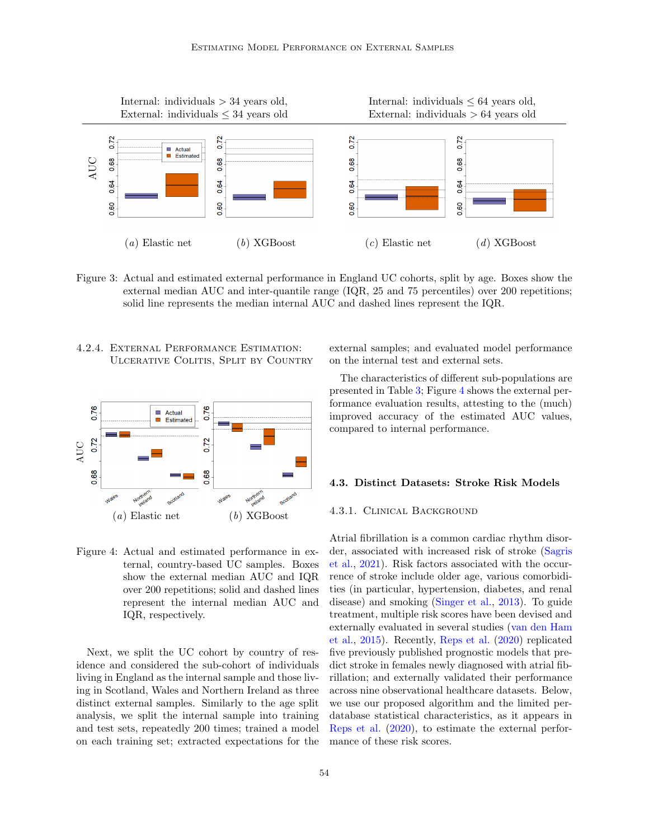

<span id="page-6-0"></span>Figure 3: Actual and estimated external performance in England UC cohorts, split by age. Boxes show the external median AUC and inter-quantile range (IQR, 25 and 75 percentiles) over 200 repetitions; solid line represents the median internal AUC and dashed lines represent the IQR.

4.2.4. External Performance Estimation: Ulcerative Colitis, Split by Country



<span id="page-6-1"></span>Figure 4: Actual and estimated performance in external, country-based UC samples. Boxes show the external median AUC and IQR over 200 repetitions; solid and dashed lines represent the internal median AUC and IQR, respectively.

Next, we split the UC cohort by country of residence and considered the sub-cohort of individuals living in England as the internal sample and those living in Scotland, Wales and Northern Ireland as three distinct external samples. Similarly to the age split analysis, we split the internal sample into training and test sets, repeatedly 200 times; trained a model on each training set; extracted expectations for the external samples; and evaluated model performance on the internal test and external sets.

The characteristics of different sub-populations are presented in Table [3;](#page-7-0) Figure [4](#page-6-1) shows the external performance evaluation results, attesting to the (much) improved accuracy of the estimated AUC values, compared to internal performance.

### 4.3. Distinct Datasets: Stroke Risk Models

#### 4.3.1. Clinical Background

Atrial fibrillation is a common cardiac rhythm disorder, associated with increased risk of stroke [\(Sagris](#page-11-9) [et al.,](#page-11-9) [2021\)](#page-11-9). Risk factors associated with the occurrence of stroke include older age, various comorbidities (in particular, hypertension, diabetes, and renal disease) and smoking [\(Singer et al.,](#page-12-7) [2013\)](#page-12-7). To guide treatment, multiple risk scores have been devised and externally evaluated in several studies [\(van den Ham](#page-12-8) [et al.,](#page-12-8) [2015\)](#page-12-8). Recently, [Reps et al.](#page-11-4) [\(2020\)](#page-11-4) replicated five previously published prognostic models that predict stroke in females newly diagnosed with atrial fibrillation; and externally validated their performance across nine observational healthcare datasets. Below, we use our proposed algorithm and the limited perdatabase statistical characteristics, as it appears in [Reps et al.](#page-11-4) [\(2020\)](#page-11-4), to estimate the external performance of these risk scores.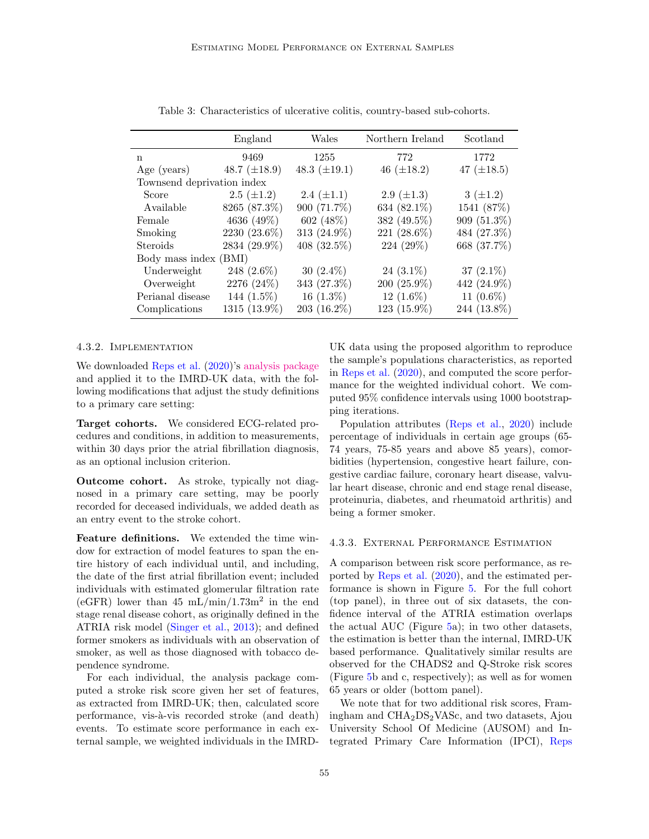|                            | England           | Wales             | Northern Ireland | Scotland        |  |  |
|----------------------------|-------------------|-------------------|------------------|-----------------|--|--|
| n                          | 9469              | 1255              | 772              | 1772            |  |  |
| Age (years)                | 48.7 $(\pm 18.9)$ | 48.3 $(\pm 19.1)$ | 46 $(\pm 18.2)$  | 47 $(\pm 18.5)$ |  |  |
| Townsend deprivation index |                   |                   |                  |                 |  |  |
| Score                      | $2.5~(\pm 1.2)$   | 2.4 $(\pm 1.1)$   | 2.9 $(\pm 1.3)$  | $3(\pm 1.2)$    |  |  |
| Available                  | 8265 (87.3%)      | 900 (71.7%)       | 634 (82.1%)      | 1541 (87%)      |  |  |
| Female                     | 4636 (49%)        | 602 $(48\%)$      | 382 (49.5%)      | $909(51.3\%)$   |  |  |
| Smoking                    | 2230 (23.6%)      | 313 (24.9%)       | 221 (28.6%)      | 484 (27.3%)     |  |  |
| Steroids                   | 2834 (29.9%)      | 408 (32.5%)       | 224 (29%)        | 668 (37.7%)     |  |  |
| Body mass index (BMI)      |                   |                   |                  |                 |  |  |
| Underweight                | 248 $(2.6\%)$     | 30 $(2.4\%)$      | 24 $(3.1\%)$     | 37 $(2.1\%)$    |  |  |
| Overweight                 | 2276 (24%)        | 343 (27.3%)       | $200(25.9\%)$    | 442 (24.9%)     |  |  |
| Perianal disease           | 144 $(1.5\%)$     | $16(1.3\%)$       | 12 $(1.6\%)$     | 11 $(0.6\%)$    |  |  |
| Complications              | 1315 (13.9%)      | $203(16.2\%)$     | 123 (15.9%)      | 244 (13.8%)     |  |  |

<span id="page-7-0"></span>Table 3: Characteristics of ulcerative colitis, country-based sub-cohorts.

#### 4.3.2. Implementation

We downloaded [Reps et al.](#page-11-4) [\(2020\)](#page-11-4)'s [analysis package](https://github.com/ohdsi-studies/ExistingStrokeRiskExternalValidation) and applied it to the IMRD-UK data, with the following modifications that adjust the study definitions to a primary care setting:

Target cohorts. We considered ECG-related procedures and conditions, in addition to measurements, within 30 days prior the atrial fibrillation diagnosis, as an optional inclusion criterion.

Outcome cohort. As stroke, typically not diagnosed in a primary care setting, may be poorly recorded for deceased individuals, we added death as an entry event to the stroke cohort.

Feature definitions. We extended the time window for extraction of model features to span the entire history of each individual until, and including, the date of the first atrial fibrillation event; included individuals with estimated glomerular filtration rate  $(eGFR)$  lower than 45 mL/min/1.73m<sup>2</sup> in the end stage renal disease cohort, as originally defined in the ATRIA risk model [\(Singer et al.,](#page-12-7) [2013\)](#page-12-7); and defined former smokers as individuals with an observation of smoker, as well as those diagnosed with tobacco dependence syndrome.

For each individual, the analysis package computed a stroke risk score given her set of features, as extracted from IMRD-UK; then, calculated score performance, vis-à-vis recorded stroke (and death) events. To estimate score performance in each external sample, we weighted individuals in the IMRD-

UK data using the proposed algorithm to reproduce the sample's populations characteristics, as reported in [Reps et al.](#page-11-4) [\(2020\)](#page-11-4), and computed the score performance for the weighted individual cohort. We computed 95% confidence intervals using 1000 bootstrapping iterations.

Population attributes [\(Reps et al.,](#page-11-4) [2020\)](#page-11-4) include percentage of individuals in certain age groups (65- 74 years, 75-85 years and above 85 years), comorbidities (hypertension, congestive heart failure, congestive cardiac failure, coronary heart disease, valvular heart disease, chronic and end stage renal disease, proteinuria, diabetes, and rheumatoid arthritis) and being a former smoker.

#### 4.3.3. External Performance Estimation

A comparison between risk score performance, as reported by [Reps et al.](#page-11-4) [\(2020\)](#page-11-4), and the estimated performance is shown in Figure [5.](#page-8-0) For the full cohort (top panel), in three out of six datasets, the confidence interval of the ATRIA estimation overlaps the actual AUC (Figure [5a](#page-8-0)); in two other datasets, the estimation is better than the internal, IMRD-UK based performance. Qualitatively similar results are observed for the CHADS2 and Q-Stroke risk scores (Figure [5b](#page-8-0) and c, respectively); as well as for women 65 years or older (bottom panel).

We note that for two additional risk scores, Framingham and  $CHA<sub>2</sub>DS<sub>2</sub> VASC$ , and two datasets, Ajou University School Of Medicine (AUSOM) and Integrated Primary Care Information (IPCI), [Reps](#page-11-4)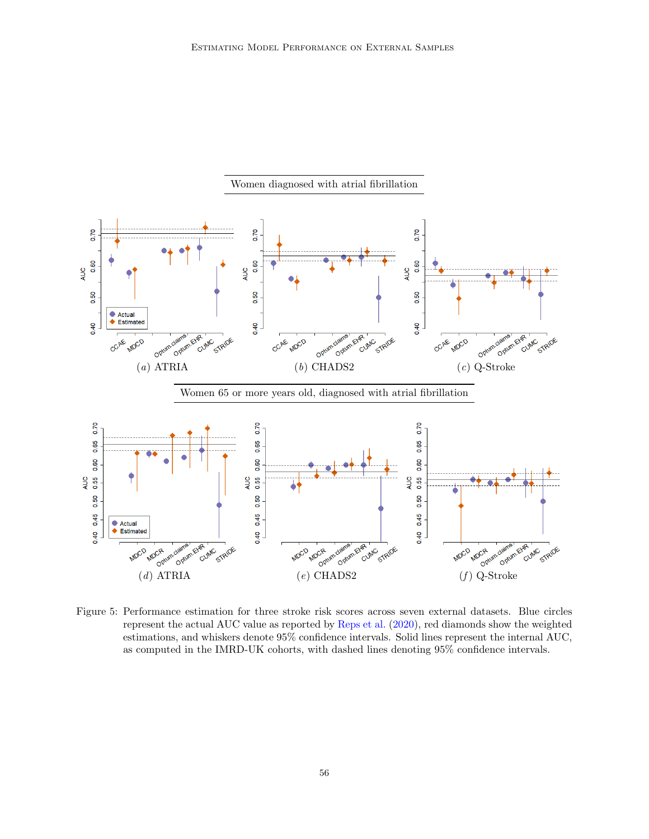

<span id="page-8-0"></span>Figure 5: [P](#page-11-4)erformance estimation for three stroke risk scores across seven external datasets. Blue circles represent the actual AUC value as reported by [Reps et al.](#page-11-4) [\(2020\)](#page-11-4), red diamonds show the weighted estimations, and whiskers denote 95% confidence intervals. Solid lines represent the internal AUC, as computed in the IMRD-UK cohorts, with dashed lines denoting 95% confidence intervals.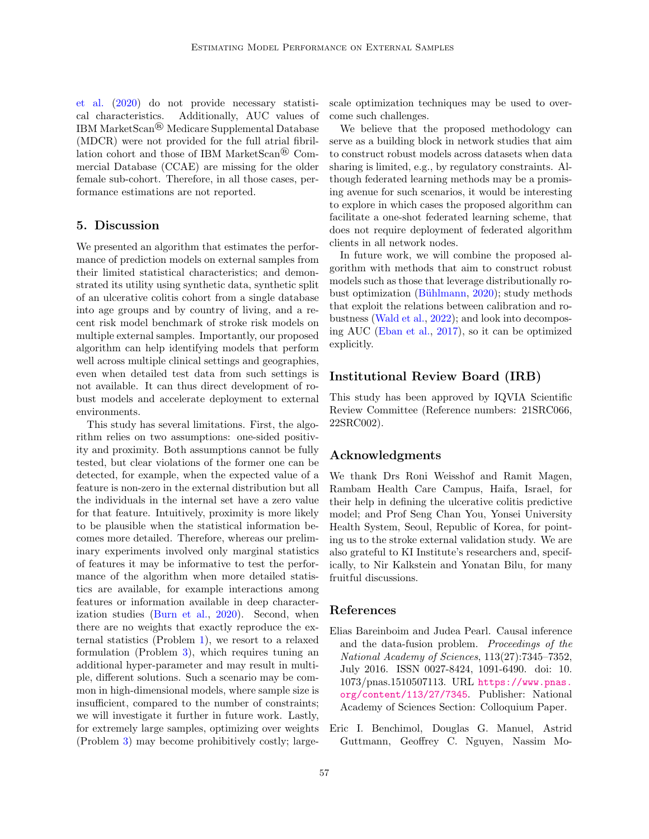[et al.](#page-11-4) [\(2020\)](#page-11-4) do not provide necessary statistical characteristics. Additionally, AUC values of IBM MarketScan® Medicare Supplemental Database (MDCR) were not provided for the full atrial fibrillation cohort and those of IBM MarketScan® Commercial Database (CCAE) are missing for the older female sub-cohort. Therefore, in all those cases, performance estimations are not reported.

### 5. Discussion

We presented an algorithm that estimates the performance of prediction models on external samples from their limited statistical characteristics; and demonstrated its utility using synthetic data, synthetic split of an ulcerative colitis cohort from a single database into age groups and by country of living, and a recent risk model benchmark of stroke risk models on multiple external samples. Importantly, our proposed algorithm can help identifying models that perform well across multiple clinical settings and geographies, even when detailed test data from such settings is not available. It can thus direct development of robust models and accelerate deployment to external environments.

This study has several limitations. First, the algorithm relies on two assumptions: one-sided positivity and proximity. Both assumptions cannot be fully tested, but clear violations of the former one can be detected, for example, when the expected value of a feature is non-zero in the external distribution but all the individuals in the internal set have a zero value for that feature. Intuitively, proximity is more likely to be plausible when the statistical information becomes more detailed. Therefore, whereas our preliminary experiments involved only marginal statistics of features it may be informative to test the performance of the algorithm when more detailed statistics are available, for example interactions among features or information available in deep characterization studies [\(Burn et al.,](#page-10-5) [2020\)](#page-10-5). Second, when there are no weights that exactly reproduce the external statistics (Problem [1\)](#page-1-1), we resort to a relaxed formulation (Problem [3\)](#page-2-1), which requires tuning an additional hyper-parameter and may result in multiple, different solutions. Such a scenario may be common in high-dimensional models, where sample size is insufficient, compared to the number of constraints; we will investigate it further in future work. Lastly, for extremely large samples, optimizing over weights (Problem [3\)](#page-2-1) may become prohibitively costly; largescale optimization techniques may be used to overcome such challenges.

We believe that the proposed methodology can serve as a building block in network studies that aim to construct robust models across datasets when data sharing is limited, e.g., by regulatory constraints. Although federated learning methods may be a promising avenue for such scenarios, it would be interesting to explore in which cases the proposed algorithm can facilitate a one-shot federated learning scheme, that does not require deployment of federated algorithm clients in all network nodes.

In future work, we will combine the proposed algorithm with methods that aim to construct robust models such as those that leverage distributionally robust optimization (Bühlmann,  $2020$ ); study methods that exploit the relations between calibration and robustness [\(Wald et al.,](#page-12-9) [2022\)](#page-12-9); and look into decomposing AUC [\(Eban et al.,](#page-10-7) [2017\)](#page-10-7), so it can be optimized explicitly.

# Institutional Review Board (IRB)

This study has been approved by IQVIA Scientific Review Committee (Reference numbers: 21SRC066, 22SRC002).

# Acknowledgments

We thank Drs Roni Weisshof and Ramit Magen, Rambam Health Care Campus, Haifa, Israel, for their help in defining the ulcerative colitis predictive model; and Prof Seng Chan You, Yonsei University Health System, Seoul, Republic of Korea, for pointing us to the stroke external validation study. We are also grateful to KI Institute's researchers and, specifically, to Nir Kalkstein and Yonatan Bilu, for many fruitful discussions.

# References

- <span id="page-9-0"></span>Elias Bareinboim and Judea Pearl. Causal inference and the data-fusion problem. Proceedings of the National Academy of Sciences, 113(27):7345–7352, July 2016. ISSN 0027-8424, 1091-6490. doi: 10. 1073/pnas.1510507113. URL [https://www.pnas.](https://www.pnas.org/content/113/27/7345) [org/content/113/27/7345](https://www.pnas.org/content/113/27/7345). Publisher: National Academy of Sciences Section: Colloquium Paper.
- <span id="page-9-1"></span>Eric I. Benchimol, Douglas G. Manuel, Astrid Guttmann, Geoffrey C. Nguyen, Nassim Mo-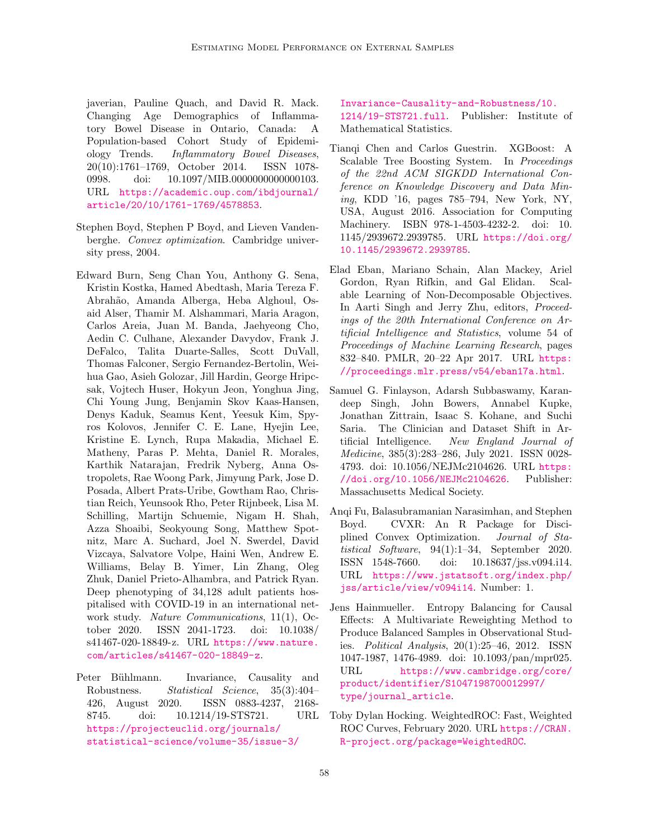javerian, Pauline Quach, and David R. Mack. Changing Age Demographics of Inflammatory Bowel Disease in Ontario, Canada: A Population-based Cohort Study of Epidemiology Trends. Inflammatory Bowel Diseases, 20(10):1761–1769, October 2014. ISSN 1078- 0998. doi: 10.1097/MIB.0000000000000103. URL [https://academic.oup.com/ibdjournal/](https://academic.oup.com/ibdjournal/article/20/10/1761-1769/4578853) [article/20/10/1761-1769/4578853](https://academic.oup.com/ibdjournal/article/20/10/1761-1769/4578853).

- <span id="page-10-8"></span>Stephen Boyd, Stephen P Boyd, and Lieven Vandenberghe. Convex optimization. Cambridge university press, 2004.
- <span id="page-10-5"></span>Edward Burn, Seng Chan You, Anthony G. Sena, Kristin Kostka, Hamed Abedtash, Maria Tereza F. Abrah˜ao, Amanda Alberga, Heba Alghoul, Osaid Alser, Thamir M. Alshammari, Maria Aragon, Carlos Areia, Juan M. Banda, Jaehyeong Cho, Aedin C. Culhane, Alexander Davydov, Frank J. DeFalco, Talita Duarte-Salles, Scott DuVall, Thomas Falconer, Sergio Fernandez-Bertolin, Weihua Gao, Asieh Golozar, Jill Hardin, George Hripcsak, Vojtech Huser, Hokyun Jeon, Yonghua Jing, Chi Young Jung, Benjamin Skov Kaas-Hansen, Denys Kaduk, Seamus Kent, Yeesuk Kim, Spyros Kolovos, Jennifer C. E. Lane, Hyejin Lee, Kristine E. Lynch, Rupa Makadia, Michael E. Matheny, Paras P. Mehta, Daniel R. Morales, Karthik Natarajan, Fredrik Nyberg, Anna Ostropolets, Rae Woong Park, Jimyung Park, Jose D. Posada, Albert Prats-Uribe, Gowtham Rao, Christian Reich, Yeunsook Rho, Peter Rijnbeek, Lisa M. Schilling, Martijn Schuemie, Nigam H. Shah, Azza Shoaibi, Seokyoung Song, Matthew Spotnitz, Marc A. Suchard, Joel N. Swerdel, David Vizcaya, Salvatore Volpe, Haini Wen, Andrew E. Williams, Belay B. Yimer, Lin Zhang, Oleg Zhuk, Daniel Prieto-Alhambra, and Patrick Ryan. Deep phenotyping of 34,128 adult patients hospitalised with COVID-19 in an international network study. *Nature Communications*, 11(1), October 2020. ISSN 2041-1723. doi: 10.1038/ s41467-020-18849-z. URL [https://www.nature.](https://www.nature.com/articles/s41467-020-18849-z) [com/articles/s41467-020-18849-z](https://www.nature.com/articles/s41467-020-18849-z).
- <span id="page-10-6"></span>Peter Bühlmann. Invariance, Causality and Robustness. Statistical Science, 35(3):404– 426, August 2020. ISSN 0883-4237, 2168- 8745. doi: 10.1214/19-STS721. URL [https://projecteuclid.org/journals/](https://projecteuclid.org/journals/statistical-science/volume-35/issue-3/Invariance-Causality-and-Robustness/10.1214/19-STS721.full) [statistical-science/volume-35/issue-3/](https://projecteuclid.org/journals/statistical-science/volume-35/issue-3/Invariance-Causality-and-Robustness/10.1214/19-STS721.full)

[Invariance-Causality-and-Robustness/10.](https://projecteuclid.org/journals/statistical-science/volume-35/issue-3/Invariance-Causality-and-Robustness/10.1214/19-STS721.full) [1214/19-STS721.full](https://projecteuclid.org/journals/statistical-science/volume-35/issue-3/Invariance-Causality-and-Robustness/10.1214/19-STS721.full). Publisher: Institute of Mathematical Statistics.

- <span id="page-10-4"></span>Tianqi Chen and Carlos Guestrin. XGBoost: A Scalable Tree Boosting System. In Proceedings of the 22nd ACM SIGKDD International Conference on Knowledge Discovery and Data Mining, KDD '16, pages 785–794, New York, NY, USA, August 2016. Association for Computing Machinery. ISBN 978-1-4503-4232-2. doi: 10. 1145/2939672.2939785. URL [https://doi.org/](https://doi.org/10.1145/2939672.2939785) [10.1145/2939672.2939785](https://doi.org/10.1145/2939672.2939785).
- <span id="page-10-7"></span>Elad Eban, Mariano Schain, Alan Mackey, Ariel Gordon, Ryan Rifkin, and Gal Elidan. Scalable Learning of Non-Decomposable Objectives. In Aarti Singh and Jerry Zhu, editors, Proceedings of the 20th International Conference on Artificial Intelligence and Statistics, volume 54 of Proceedings of Machine Learning Research, pages 832–840. PMLR, 20–22 Apr 2017. URL [https:](https://proceedings.mlr.press/v54/eban17a.html) [//proceedings.mlr.press/v54/eban17a.html](https://proceedings.mlr.press/v54/eban17a.html).
- <span id="page-10-0"></span>Samuel G. Finlayson, Adarsh Subbaswamy, Karandeep Singh, John Bowers, Annabel Kupke, Jonathan Zittrain, Isaac S. Kohane, and Suchi Saria. The Clinician and Dataset Shift in Artificial Intelligence. New England Journal of Medicine, 385(3):283–286, July 2021. ISSN 0028- 4793. doi: 10.1056/NEJMc2104626. URL [https:](https://doi.org/10.1056/NEJMc2104626) [//doi.org/10.1056/NEJMc2104626](https://doi.org/10.1056/NEJMc2104626). Publisher: Massachusetts Medical Society.
- <span id="page-10-2"></span>Anqi Fu, Balasubramanian Narasimhan, and Stephen Boyd. CVXR: An R Package for Disciplined Convex Optimization. Journal of Statistical Software, 94(1):1–34, September 2020. ISSN 1548-7660. doi: 10.18637/jss.v094.i14. URL [https://www.jstatsoft.org/index.php/](https://www.jstatsoft.org/index.php/jss/article/view/v094i14) [jss/article/view/v094i14](https://www.jstatsoft.org/index.php/jss/article/view/v094i14). Number: 1.
- <span id="page-10-1"></span>Jens Hainmueller. Entropy Balancing for Causal Effects: A Multivariate Reweighting Method to Produce Balanced Samples in Observational Studies. Political Analysis, 20(1):25–46, 2012. ISSN 1047-1987, 1476-4989. doi: 10.1093/pan/mpr025. URL [https://www.cambridge.org/core/](https://www.cambridge.org/core/product/identifier/S1047198700012997/type/journal_article) [product/identifier/S1047198700012997/](https://www.cambridge.org/core/product/identifier/S1047198700012997/type/journal_article) [type/journal\\_article](https://www.cambridge.org/core/product/identifier/S1047198700012997/type/journal_article).
- <span id="page-10-3"></span>Toby Dylan Hocking. WeightedROC: Fast, Weighted ROC Curves, February 2020. URL [https://CRAN.](https://CRAN.R-project.org/package=WeightedROC) [R-project.org/package=WeightedROC](https://CRAN.R-project.org/package=WeightedROC).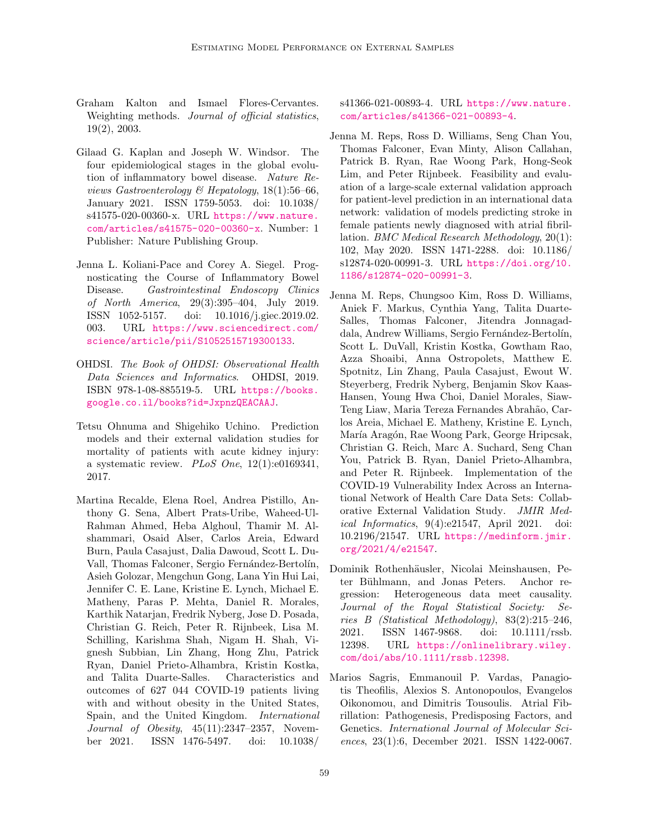- <span id="page-11-5"></span>Graham Kalton and Ismael Flores-Cervantes. Weighting methods. Journal of official statistics, 19(2), 2003.
- <span id="page-11-7"></span>Gilaad G. Kaplan and Joseph W. Windsor. The four epidemiological stages in the global evolution of inflammatory bowel disease. Nature Reviews Gastroenterology & Hepatology,  $18(1)$ :56–66, January 2021. ISSN 1759-5053. doi: 10.1038/ s41575-020-00360-x. URL [https://www.nature.](https://www.nature.com/articles/s41575-020-00360-x) [com/articles/s41575-020-00360-x](https://www.nature.com/articles/s41575-020-00360-x). Number: 1 Publisher: Nature Publishing Group.
- <span id="page-11-8"></span>Jenna L. Koliani-Pace and Corey A. Siegel. Prognosticating the Course of Inflammatory Bowel Disease. Gastrointestinal Endoscopy Clinics of North America, 29(3):395–404, July 2019. ISSN 1052-5157. doi: 10.1016/j.giec.2019.02. 003. URL [https://www.sciencedirect.com/](https://www.sciencedirect.com/science/article/pii/S1052515719300133) [science/article/pii/S1052515719300133](https://www.sciencedirect.com/science/article/pii/S1052515719300133).
- <span id="page-11-0"></span>OHDSI. The Book of OHDSI: Observational Health Data Sciences and Informatics. OHDSI, 2019. ISBN 978-1-08-885519-5. URL [https://books.](https://books.google.co.il/books?id=JxpnzQEACAAJ) [google.co.il/books?id=JxpnzQEACAAJ](https://books.google.co.il/books?id=JxpnzQEACAAJ).
- <span id="page-11-1"></span>Tetsu Ohnuma and Shigehiko Uchino. Prediction models and their external validation studies for mortality of patients with acute kidney injury: a systematic review. PLoS One,  $12(1):e0169341$ , 2017.
- <span id="page-11-3"></span>Martina Recalde, Elena Roel, Andrea Pistillo, Anthony G. Sena, Albert Prats-Uribe, Waheed-Ul-Rahman Ahmed, Heba Alghoul, Thamir M. Alshammari, Osaid Alser, Carlos Areia, Edward Burn, Paula Casajust, Dalia Dawoud, Scott L. Du-Vall, Thomas Falconer, Sergio Fernández-Bertolín, Asieh Golozar, Mengchun Gong, Lana Yin Hui Lai, Jennifer C. E. Lane, Kristine E. Lynch, Michael E. Matheny, Paras P. Mehta, Daniel R. Morales, Karthik Natarjan, Fredrik Nyberg, Jose D. Posada, Christian G. Reich, Peter R. Rijnbeek, Lisa M. Schilling, Karishma Shah, Nigam H. Shah, Vignesh Subbian, Lin Zhang, Hong Zhu, Patrick Ryan, Daniel Prieto-Alhambra, Kristin Kostka, and Talita Duarte-Salles. Characteristics and outcomes of 627 044 COVID-19 patients living with and without obesity in the United States, Spain, and the United Kingdom. International Journal of Obesity, 45(11):2347–2357, November 2021. ISSN 1476-5497. doi: 10.1038/

s41366-021-00893-4. URL [https://www.nature.](https://www.nature.com/articles/s41366-021-00893-4) [com/articles/s41366-021-00893-4](https://www.nature.com/articles/s41366-021-00893-4).

- <span id="page-11-4"></span>Jenna M. Reps, Ross D. Williams, Seng Chan You, Thomas Falconer, Evan Minty, Alison Callahan, Patrick B. Ryan, Rae Woong Park, Hong-Seok Lim, and Peter Rijnbeek. Feasibility and evaluation of a large-scale external validation approach for patient-level prediction in an international data network: validation of models predicting stroke in female patients newly diagnosed with atrial fibrillation. BMC Medical Research Methodology, 20(1): 102, May 2020. ISSN 1471-2288. doi: 10.1186/ s12874-020-00991-3. URL [https://doi.org/10.](https://doi.org/10.1186/s12874-020-00991-3) [1186/s12874-020-00991-3](https://doi.org/10.1186/s12874-020-00991-3).
- <span id="page-11-2"></span>Jenna M. Reps, Chungsoo Kim, Ross D. Williams, Aniek F. Markus, Cynthia Yang, Talita Duarte-Salles, Thomas Falconer, Jitendra Jonnagaddala, Andrew Williams, Sergio Fernández-Bertolín, Scott L. DuVall, Kristin Kostka, Gowtham Rao, Azza Shoaibi, Anna Ostropolets, Matthew E. Spotnitz, Lin Zhang, Paula Casajust, Ewout W. Steyerberg, Fredrik Nyberg, Benjamin Skov Kaas-Hansen, Young Hwa Choi, Daniel Morales, Siaw-Teng Liaw, Maria Tereza Fernandes Abrah˜ao, Carlos Areia, Michael E. Matheny, Kristine E. Lynch, María Aragón, Rae Woong Park, George Hripcsak, Christian G. Reich, Marc A. Suchard, Seng Chan You, Patrick B. Ryan, Daniel Prieto-Alhambra, and Peter R. Rijnbeek. Implementation of the COVID-19 Vulnerability Index Across an International Network of Health Care Data Sets: Collaborative External Validation Study. JMIR Medical Informatics, 9(4):e21547, April 2021. doi: 10.2196/21547. URL [https://medinform.jmir.](https://medinform.jmir.org/2021/4/e21547) [org/2021/4/e21547](https://medinform.jmir.org/2021/4/e21547).
- <span id="page-11-6"></span>Dominik Rothenhäusler, Nicolai Meinshausen, Peter Bühlmann, and Jonas Peters. Anchor regression: Heterogeneous data meet causality. Journal of the Royal Statistical Society: Series B (Statistical Methodology), 83(2):215–246, 2021. ISSN 1467-9868. doi: 10.1111/rssb. 12398. URL [https://onlinelibrary.wiley.](https://onlinelibrary.wiley.com/doi/abs/10.1111/rssb.12398) [com/doi/abs/10.1111/rssb.12398](https://onlinelibrary.wiley.com/doi/abs/10.1111/rssb.12398).
- <span id="page-11-9"></span>Marios Sagris, Emmanouil P. Vardas, Panagiotis Theofilis, Alexios S. Antonopoulos, Evangelos Oikonomou, and Dimitris Tousoulis. Atrial Fibrillation: Pathogenesis, Predisposing Factors, and Genetics. International Journal of Molecular Sciences, 23(1):6, December 2021. ISSN 1422-0067.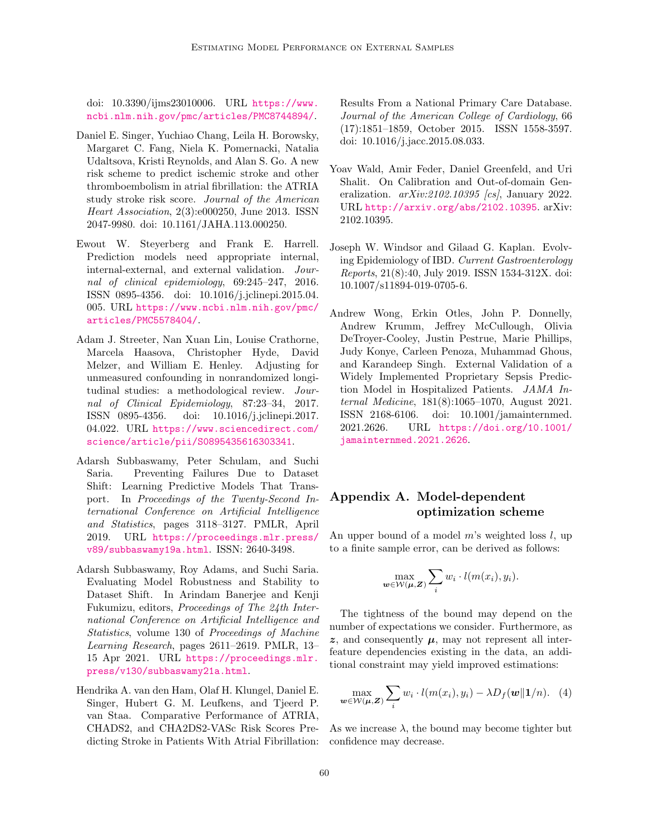doi: 10.3390/ijms23010006. URL [https://www.](https://www.ncbi.nlm.nih.gov/pmc/articles/PMC8744894/) [ncbi.nlm.nih.gov/pmc/articles/PMC8744894/](https://www.ncbi.nlm.nih.gov/pmc/articles/PMC8744894/).

- <span id="page-12-7"></span>Daniel E. Singer, Yuchiao Chang, Leila H. Borowsky, Margaret C. Fang, Niela K. Pomernacki, Natalia Udaltsova, Kristi Reynolds, and Alan S. Go. A new risk scheme to predict ischemic stroke and other thromboembolism in atrial fibrillation: the ATRIA study stroke risk score. Journal of the American Heart Association, 2(3):e000250, June 2013. ISSN 2047-9980. doi: 10.1161/JAHA.113.000250.
- <span id="page-12-0"></span>Ewout W. Steyerberg and Frank E. Harrell. Prediction models need appropriate internal, internal-external, and external validation. Journal of clinical epidemiology, 69:245–247, 2016. ISSN 0895-4356. doi: 10.1016/j.jclinepi.2015.04. 005. URL [https://www.ncbi.nlm.nih.gov/pmc/](https://www.ncbi.nlm.nih.gov/pmc/articles/PMC5578404/) [articles/PMC5578404/](https://www.ncbi.nlm.nih.gov/pmc/articles/PMC5578404/).
- <span id="page-12-4"></span>Adam J. Streeter, Nan Xuan Lin, Louise Crathorne, Marcela Haasova, Christopher Hyde, David Melzer, and William E. Henley. Adjusting for unmeasured confounding in nonrandomized longitudinal studies: a methodological review. Journal of Clinical Epidemiology, 87:23–34, 2017. ISSN 0895-4356. doi: 10.1016/j.jclinepi.2017. 04.022. URL [https://www.sciencedirect.com/](https://www.sciencedirect.com/science/article/pii/S0895435616303341) [science/article/pii/S0895435616303341](https://www.sciencedirect.com/science/article/pii/S0895435616303341).
- <span id="page-12-2"></span>Adarsh Subbaswamy, Peter Schulam, and Suchi Saria. Preventing Failures Due to Dataset Shift: Learning Predictive Models That Transport. In Proceedings of the Twenty-Second International Conference on Artificial Intelligence and Statistics, pages 3118–3127. PMLR, April 2019. URL [https://proceedings.mlr.press/](https://proceedings.mlr.press/v89/subbaswamy19a.html) [v89/subbaswamy19a.html](https://proceedings.mlr.press/v89/subbaswamy19a.html). ISSN: 2640-3498.
- <span id="page-12-3"></span>Adarsh Subbaswamy, Roy Adams, and Suchi Saria. Evaluating Model Robustness and Stability to Dataset Shift. In Arindam Banerjee and Kenji Fukumizu, editors, Proceedings of The 24th International Conference on Artificial Intelligence and Statistics, volume 130 of Proceedings of Machine Learning Research, pages 2611–2619. PMLR, 13– 15 Apr 2021. URL [https://proceedings.mlr.](https://proceedings.mlr.press/v130/subbaswamy21a.html) [press/v130/subbaswamy21a.html](https://proceedings.mlr.press/v130/subbaswamy21a.html).
- <span id="page-12-8"></span>Hendrika A. van den Ham, Olaf H. Klungel, Daniel E. Singer, Hubert G. M. Leufkens, and Tjeerd P. van Staa. Comparative Performance of ATRIA, CHADS2, and CHA2DS2-VASc Risk Scores Predicting Stroke in Patients With Atrial Fibrillation: confidence may decrease.

Results From a National Primary Care Database. Journal of the American College of Cardiology, 66 (17):1851–1859, October 2015. ISSN 1558-3597. doi: 10.1016/j.jacc.2015.08.033.

- <span id="page-12-9"></span>Yoav Wald, Amir Feder, Daniel Greenfeld, and Uri Shalit. On Calibration and Out-of-domain Generalization.  $arXiv:2102.10395$  [cs], January 2022. URL <http://arxiv.org/abs/2102.10395>. arXiv: 2102.10395.
- <span id="page-12-6"></span>Joseph W. Windsor and Gilaad G. Kaplan. Evolving Epidemiology of IBD. Current Gastroenterology Reports, 21(8):40, July 2019. ISSN 1534-312X. doi: 10.1007/s11894-019-0705-6.
- <span id="page-12-1"></span>Andrew Wong, Erkin Otles, John P. Donnelly, Andrew Krumm, Jeffrey McCullough, Olivia DeTroyer-Cooley, Justin Pestrue, Marie Phillips, Judy Konye, Carleen Penoza, Muhammad Ghous, and Karandeep Singh. External Validation of a Widely Implemented Proprietary Sepsis Prediction Model in Hospitalized Patients. JAMA Internal Medicine, 181(8):1065–1070, August 2021. ISSN 2168-6106. doi: 10.1001/jamainternmed. 2021.2626. URL [https://doi.org/10.1001/](https://doi.org/10.1001/jamainternmed.2021.2626) [jamainternmed.2021.2626](https://doi.org/10.1001/jamainternmed.2021.2626).

# <span id="page-12-5"></span>Appendix A. Model-dependent optimization scheme

An upper bound of a model  $m$ 's weighted loss  $l$ , up to a finite sample error, can be derived as follows:

$$
\max_{\boldsymbol{w}\in\mathcal{W}(\boldsymbol{\mu},\boldsymbol{Z})}\sum_i w_i \cdot l(m(x_i), y_i).
$$

The tightness of the bound may depend on the number of expectations we consider. Furthermore, as  $z$ , and consequently  $\mu$ , may not represent all interfeature dependencies existing in the data, an additional constraint may yield improved estimations:

$$
\max_{\boldsymbol{w}\in\mathcal{W}(\boldsymbol{\mu},\boldsymbol{Z})}\sum_{i}w_i\cdot l(m(x_i),y_i)-\lambda D_f(\boldsymbol{w}\|\boldsymbol{1}/n). \quad (4)
$$

As we increase  $\lambda$ , the bound may become tighter but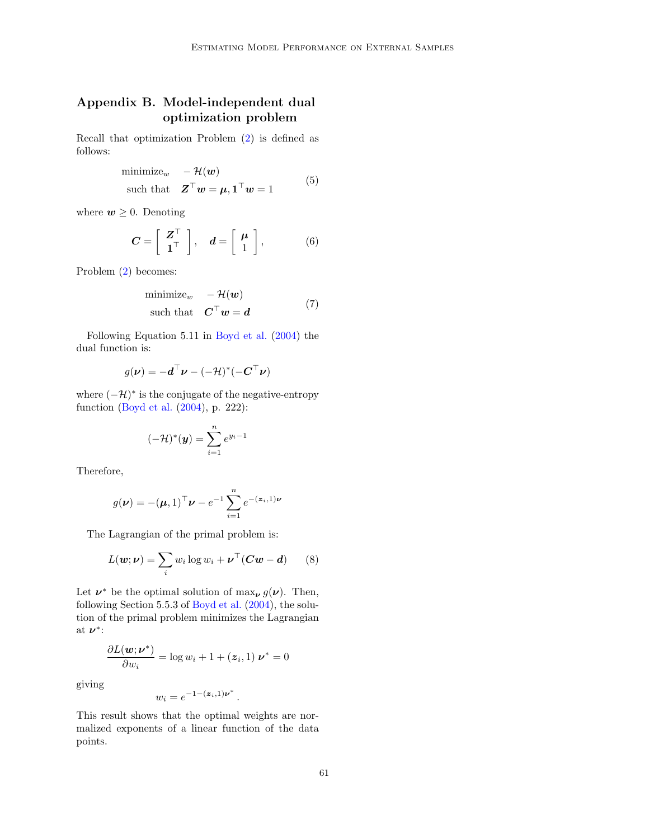# <span id="page-13-0"></span>Appendix B. Model-independent dual optimization problem

Recall that optimization Problem [\(2\)](#page-2-0) is defined as follows:

$$
\begin{array}{ll}\text{minimize}_{w} & -\mathcal{H}(w) \\ \text{such that} & \mathbf{Z}^{\top}w = \boldsymbol{\mu}, \mathbf{1}^{\top}w = 1 \end{array} \tag{5}
$$

where  $w \geq 0$ . Denoting

$$
C = \left[ \begin{array}{c} \mathbf{Z}^{\top} \\ \mathbf{1}^{\top} \end{array} \right], \quad \mathbf{d} = \left[ \begin{array}{c} \boldsymbol{\mu} \\ 1 \end{array} \right], \tag{6}
$$

Problem [\(2\)](#page-2-0) becomes:

$$
\begin{array}{ll}\text{minimize}_{w} & -\mathcal{H}(w) \\ \text{such that} & \mathbf{C}^{\top}w = \mathbf{d} \end{array} \tag{7}
$$

Following Equation 5.11 in [Boyd et al.](#page-10-8) [\(2004\)](#page-10-8) the dual function is:

$$
g(\pmb{\nu}) = -\pmb{d}^\top \pmb{\nu} - (-\mathcal{H})^*(-\pmb{C}^\top \pmb{\nu})
$$

where  $(-\mathcal{H})^*$  is the conjugate of the negative-entropy function [\(Boyd et al.](#page-10-8) [\(2004\)](#page-10-8), p. 222):

$$
(-\mathcal{H})^*(\mathbf{y}) = \sum_{i=1}^n e^{y_i - 1}
$$

Therefore,

$$
g(\nu) = -(\mu, 1)^{\top} \nu - e^{-1} \sum_{i=1}^{n} e^{-(\mathbf{z}_i, 1)\nu}
$$

The Lagrangian of the primal problem is:

$$
L(\boldsymbol{w}; \boldsymbol{\nu}) = \sum_{i} w_i \log w_i + \boldsymbol{\nu}^\top (\boldsymbol{C}\boldsymbol{w} - \boldsymbol{d}) \qquad (8)
$$

Let  $\nu^*$  be the optimal solution of  $\max_{\nu} g(\nu)$ . Then, following Section 5.5.3 of [Boyd et al.](#page-10-8) [\(2004\)](#page-10-8), the solution of the primal problem minimizes the Lagrangian at  $\nu^*$ :

$$
\frac{\partial L(\mathbf{w}; \mathbf{v}^*)}{\partial w_i} = \log w_i + 1 + (\mathbf{z}_i, 1) \mathbf{v}^* = 0
$$

giving

$$
w_i = e^{-1 - (\boldsymbol{z}_i, 1)\boldsymbol{\nu}^*}
$$

This result shows that the optimal weights are normalized exponents of a linear function of the data points.

.